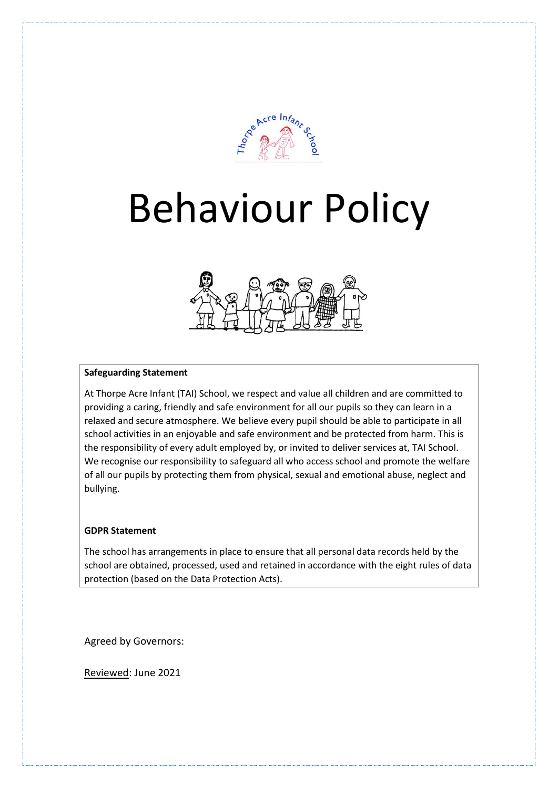

# Behaviour Policy



# **Safeguarding Statement**

At Thorpe Acre Infant (TAI) School, we respect and value all children and are committed to providing a caring, friendly and safe environment for all our pupils so they can learn in a relaxed and secure atmosphere. We believe every pupil should be able to participate in all school activities in an enjoyable and safe environment and be protected from harm. This is the responsibility of every adult employed by, or invited to deliver services at, TAI School. We recognise our responsibility to safeguard all who access school and promote the welfare of all our pupils by protecting them from physical, sexual and emotional abuse, neglect and bullying.

#### **GDPR Statement**

The school has arrangements in place to ensure that all personal data records held by the school are obtained, processed, used and retained in accordance with the eight rules of data protection (based on the Data Protection Acts).

Agreed by Governors:

Reviewed: June 2021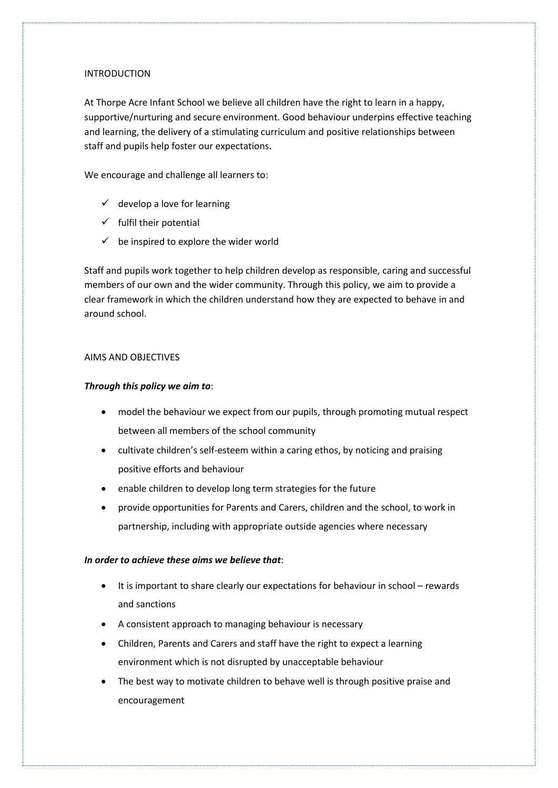# **INTRODUCTION**

At Thorpe Acre Infant School we believe all children have the right to learn in a happy, supportive/nurturing and secure environment. Good behaviour underpins effective teaching and learning, the delivery of a stimulating curriculum and positive relationships between staff and pupils help foster our expectations.

We encourage and challenge all learners to:

- $\checkmark$  develop a love for learning
- $\checkmark$  fulfil their potential
- $\checkmark$  be inspired to explore the wider world

Staff and pupils work together to help children develop as responsible, caring and successful members of our own and the wider community. Through this policy, we aim to provide a clear framework in which the children understand how they are expected to behave in and around school.

# AIMS AND OBJECTIVES

# *Through this policy we aim to*:

- model the behaviour we expect from our pupils, through promoting mutual respect between all members of the school community
- cultivate children's self-esteem within a caring ethos, by noticing and praising positive efforts and behaviour
- enable children to develop long term strategies for the future
- provide opportunities for Parents and Carers, children and the school, to work in partnership, including with appropriate outside agencies where necessary

### *In order to achieve these aims we believe that*:

- It is important to share clearly our expectations for behaviour in school rewards and sanctions
- A consistent approach to managing behaviour is necessary
- Children, Parents and Carers and staff have the right to expect a learning environment which is not disrupted by unacceptable behaviour
- The best way to motivate children to behave well is through positive praise and encouragement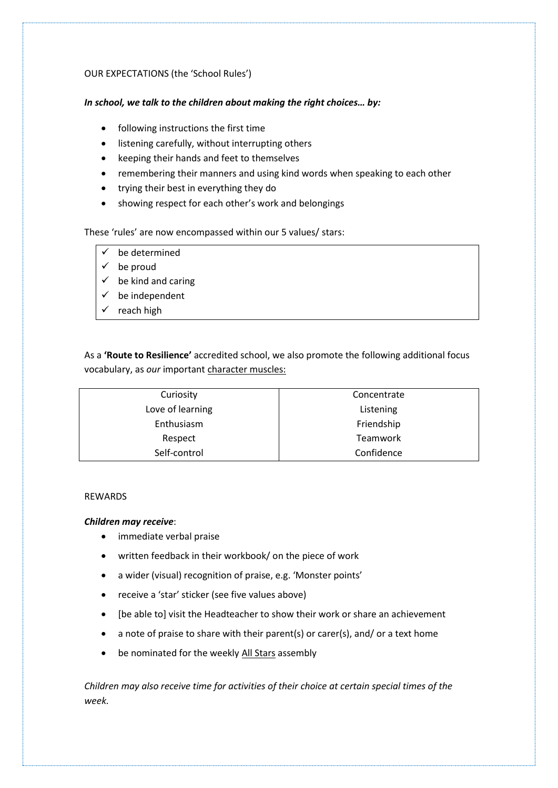# OUR EXPECTATIONS (the 'School Rules')

# *In school, we talk to the children about making the right choices… by:*

- following instructions the first time
- listening carefully, without interrupting others
- keeping their hands and feet to themselves
- remembering their manners and using kind words when speaking to each other
- trying their best in everything they do
- showing respect for each other's work and belongings

# These 'rules' are now encompassed within our 5 values/ stars:

- be determined
- $\checkmark$  be proud
- $\checkmark$  be kind and caring
- $\checkmark$  be independent
- $\checkmark$  reach high

As a **'Route to Resilience'** accredited school, we also promote the following additional focus vocabulary, as *our* important character muscles:

| Curiosity        | Concentrate     |
|------------------|-----------------|
| Love of learning | Listening       |
| Enthusiasm       | Friendship      |
| Respect          | <b>Teamwork</b> |
| Self-control     | Confidence      |

#### REWARDS

# *Children may receive*:

- immediate verbal praise
- written feedback in their workbook/ on the piece of work
- a wider (visual) recognition of praise, e.g. 'Monster points'
- receive a 'star' sticker (see five values above)
- [be able to] visit the Headteacher to show their work or share an achievement
- a note of praise to share with their parent(s) or carer(s), and/ or a text home
- be nominated for the weekly All Stars assembly

*Children may also receive time for activities of their choice at certain special times of the week.*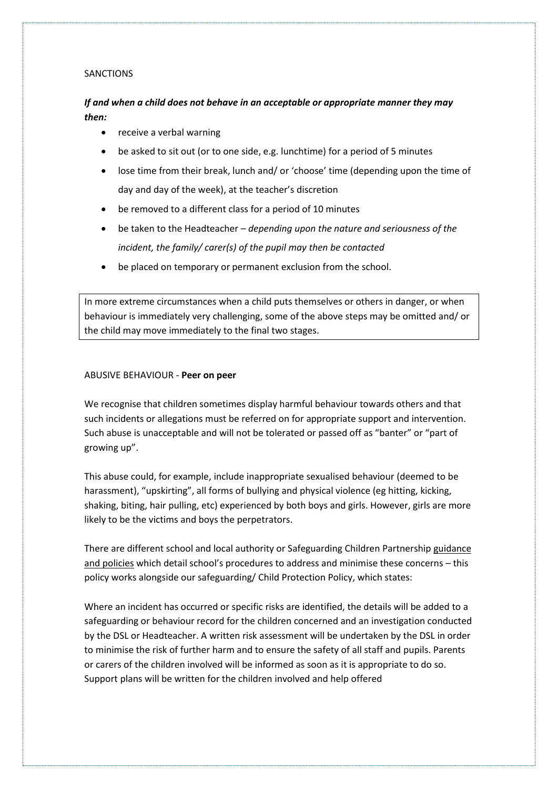#### SANCTIONS

# *If and when a child does not behave in an acceptable or appropriate manner they may then:*

- receive a verbal warning
- be asked to sit out (or to one side, e.g. lunchtime) for a period of 5 minutes
- lose time from their break, lunch and/ or 'choose' time (depending upon the time of day and day of the week), at the teacher's discretion
- be removed to a different class for a period of 10 minutes
- be taken to the Headteacher *depending upon the nature and seriousness of the incident, the family/ carer(s) of the pupil may then be contacted*
- be placed on temporary or permanent exclusion from the school.

In more extreme circumstances when a child puts themselves or others in danger, or when behaviour is immediately very challenging, some of the above steps may be omitted and/ or the child may move immediately to the final two stages.

#### ABUSIVE BEHAVIOUR - **Peer on peer**

We recognise that children sometimes display harmful behaviour towards others and that such incidents or allegations must be referred on for appropriate support and intervention. Such abuse is unacceptable and will not be tolerated or passed off as "banter" or "part of growing up".

This abuse could, for example, include inappropriate sexualised behaviour (deemed to be harassment), "upskirting", all forms of bullying and physical violence (eg hitting, kicking, shaking, biting, hair pulling, etc) experienced by both boys and girls. However, girls are more likely to be the victims and boys the perpetrators.

There are different school and local authority or Safeguarding Children Partnership guidance and policies which detail school's procedures to address and minimise these concerns – this policy works alongside our safeguarding/ Child Protection Policy, which states:

Where an incident has occurred or specific risks are identified, the details will be added to a safeguarding or behaviour record for the children concerned and an investigation conducted by the DSL or Headteacher. A written risk assessment will be undertaken by the DSL in order to minimise the risk of further harm and to ensure the safety of all staff and pupils. Parents or carers of the children involved will be informed as soon as it is appropriate to do so. Support plans will be written for the children involved and help offered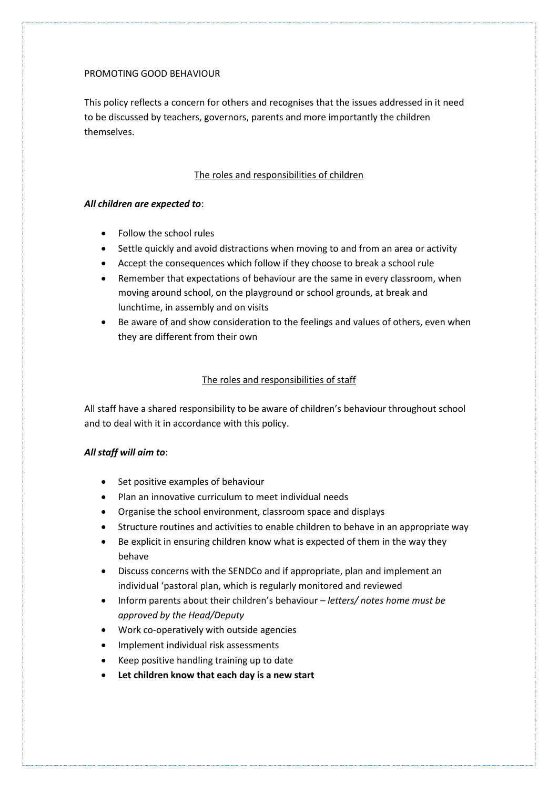# PROMOTING GOOD BEHAVIOUR

This policy reflects a concern for others and recognises that the issues addressed in it need to be discussed by teachers, governors, parents and more importantly the children themselves.

# The roles and responsibilities of children

# *All children are expected to*:

- Follow the school rules
- Settle quickly and avoid distractions when moving to and from an area or activity
- Accept the consequences which follow if they choose to break a school rule
- Remember that expectations of behaviour are the same in every classroom, when moving around school, on the playground or school grounds, at break and lunchtime, in assembly and on visits
- Be aware of and show consideration to the feelings and values of others, even when they are different from their own

# The roles and responsibilities of staff

All staff have a shared responsibility to be aware of children's behaviour throughout school and to deal with it in accordance with this policy.

# *All staff will aim to*:

- Set positive examples of behaviour
- Plan an innovative curriculum to meet individual needs
- Organise the school environment, classroom space and displays
- Structure routines and activities to enable children to behave in an appropriate way
- Be explicit in ensuring children know what is expected of them in the way they behave
- Discuss concerns with the SENDCo and if appropriate, plan and implement an individual 'pastoral plan, which is regularly monitored and reviewed
- Inform parents about their children's behaviour *letters/ notes home must be approved by the Head/Deputy*
- Work co-operatively with outside agencies
- Implement individual risk assessments
- Keep positive handling training up to date
- **Let children know that each day is a new start**